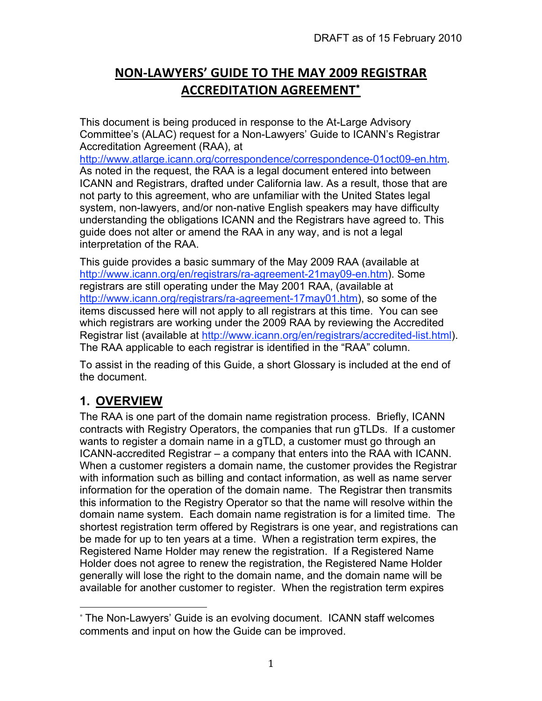# **NON‐LAWYERS'
GUIDE
TO
THE
MAY
2009
REGISTRAR ACCREDITATION
AGREEMENT**<sup>∗</sup>

This document is being produced in response to the At-Large Advisory Committee's (ALAC) request for a Non-Lawyers' Guide to ICANN's Registrar Accreditation Agreement (RAA), at

http://www.atlarge.icann.org/correspondence/correspondence-01oct09-en.htm. As noted in the request, the RAA is a legal document entered into between ICANN and Registrars, drafted under California law. As a result, those that are not party to this agreement, who are unfamiliar with the United States legal system, non-lawyers, and/or non-native English speakers may have difficulty understanding the obligations ICANN and the Registrars have agreed to. This guide does not alter or amend the RAA in any way, and is not a legal interpretation of the RAA.

This guide provides a basic summary of the May 2009 RAA (available at http://www.icann.org/en/registrars/ra-agreement-21may09-en.htm). Some registrars are still operating under the May 2001 RAA, (available at http://www.icann.org/registrars/ra-agreement-17may01.htm), so some of the items discussed here will not apply to all registrars at this time. You can see which registrars are working under the 2009 RAA by reviewing the Accredited Registrar list (available at http://www.icann.org/en/registrars/accredited-list.html). The RAA applicable to each registrar is identified in the "RAA" column.

To assist in the reading of this Guide, a short Glossary is included at the end of the document.

# **1. OVERVIEW**

The RAA is one part of the domain name registration process. Briefly, ICANN contracts with Registry Operators, the companies that run gTLDs. If a customer wants to register a domain name in a gTLD, a customer must go through an ICANN-accredited Registrar – a company that enters into the RAA with ICANN. When a customer registers a domain name, the customer provides the Registrar with information such as billing and contact information, as well as name server information for the operation of the domain name. The Registrar then transmits this information to the Registry Operator so that the name will resolve within the domain name system. Each domain name registration is for a limited time. The shortest registration term offered by Registrars is one year, and registrations can be made for up to ten years at a time. When a registration term expires, the Registered Name Holder may renew the registration. If a Registered Name Holder does not agree to renew the registration, the Registered Name Holder generally will lose the right to the domain name, and the domain name will be available for another customer to register. When the registration term expires

<sup>∗</sup> The Non-Lawyers' Guide is an evolving document. ICANN staff welcomes comments and input on how the Guide can be improved.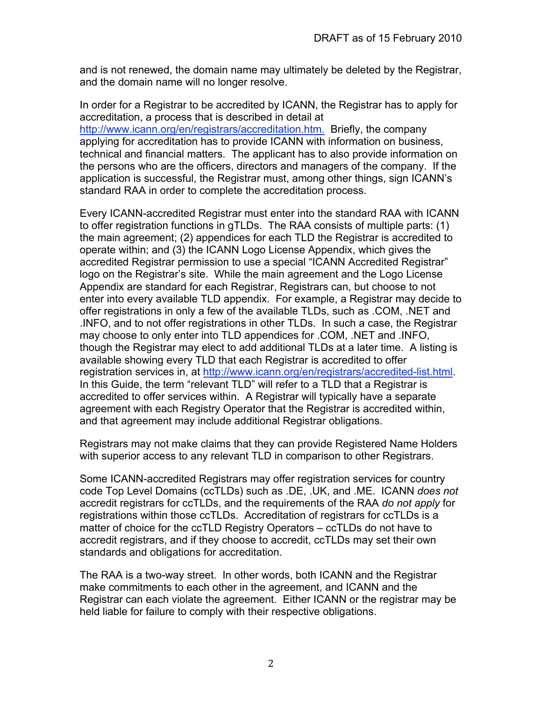and is not renewed, the domain name may ultimately be deleted by the Registrar, and the domain name will no longer resolve.

In order for a Registrar to be accredited by ICANN, the Registrar has to apply for accreditation, a process that is described in detail at http://www.icann.org/en/registrars/accreditation.htm. Briefly, the company applying for accreditation has to provide ICANN with information on business, technical and financial matters. The applicant has to also provide information on the persons who are the officers, directors and managers of the company. If the application is successful, the Registrar must, among other things, sign ICANN's standard RAA in order to complete the accreditation process.

Every ICANN-accredited Registrar must enter into the standard RAA with ICANN to offer registration functions in gTLDs. The RAA consists of multiple parts: (1) the main agreement; (2) appendices for each TLD the Registrar is accredited to operate within; and (3) the ICANN Logo License Appendix, which gives the accredited Registrar permission to use a special "ICANN Accredited Registrar" logo on the Registrar's site. While the main agreement and the Logo License Appendix are standard for each Registrar, Registrars can, but choose to not enter into every available TLD appendix. For example, a Registrar may decide to offer registrations in only a few of the available TLDs, such as .COM, .NET and .INFO, and to not offer registrations in other TLDs. In such a case, the Registrar may choose to only enter into TLD appendices for .COM, .NET and .INFO, though the Registrar may elect to add additional TLDs at a later time. A listing is available showing every TLD that each Registrar is accredited to offer registration services in, at http://www.icann.org/en/registrars/accredited-list.html. In this Guide, the term "relevant TLD" will refer to a TLD that a Registrar is accredited to offer services within. A Registrar will typically have a separate agreement with each Registry Operator that the Registrar is accredited within, and that agreement may include additional Registrar obligations.

Registrars may not make claims that they can provide Registered Name Holders with superior access to any relevant TLD in comparison to other Registrars.

Some ICANN-accredited Registrars may offer registration services for country code Top Level Domains (ccTLDs) such as .DE, .UK, and .ME. ICANN *does not* accredit registrars for ccTLDs, and the requirements of the RAA *do not apply* for registrations within those ccTLDs. Accreditation of registrars for ccTLDs is a matter of choice for the ccTLD Registry Operators – ccTLDs do not have to accredit registrars, and if they choose to accredit, ccTLDs may set their own standards and obligations for accreditation.

The RAA is a two-way street. In other words, both ICANN and the Registrar make commitments to each other in the agreement, and ICANN and the Registrar can each violate the agreement. Either ICANN or the registrar may be held liable for failure to comply with their respective obligations.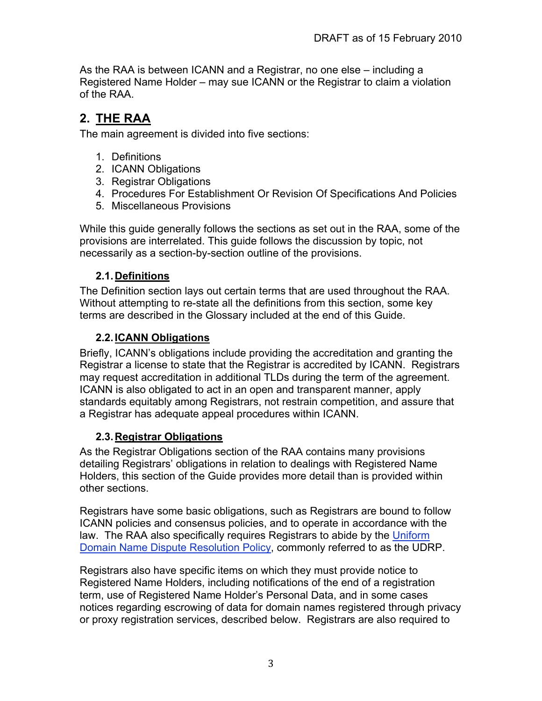As the RAA is between ICANN and a Registrar, no one else – including a Registered Name Holder – may sue ICANN or the Registrar to claim a violation of the RAA.

## **2. THE RAA**

The main agreement is divided into five sections:

- 1. Definitions
- 2. ICANN Obligations
- 3. Registrar Obligations
- 4. Procedures For Establishment Or Revision Of Specifications And Policies
- 5. Miscellaneous Provisions

While this guide generally follows the sections as set out in the RAA, some of the provisions are interrelated. This guide follows the discussion by topic, not necessarily as a section-by-section outline of the provisions.

## **2.1.Definitions**

The Definition section lays out certain terms that are used throughout the RAA. Without attempting to re-state all the definitions from this section, some key terms are described in the Glossary included at the end of this Guide.

## **2.2.ICANN Obligations**

Briefly, ICANN's obligations include providing the accreditation and granting the Registrar a license to state that the Registrar is accredited by ICANN. Registrars may request accreditation in additional TLDs during the term of the agreement. ICANN is also obligated to act in an open and transparent manner, apply standards equitably among Registrars, not restrain competition, and assure that a Registrar has adequate appeal procedures within ICANN.

## **2.3.Registrar Obligations**

As the Registrar Obligations section of the RAA contains many provisions detailing Registrars' obligations in relation to dealings with Registered Name Holders, this section of the Guide provides more detail than is provided within other sections.

Registrars have some basic obligations, such as Registrars are bound to follow ICANN policies and consensus policies, and to operate in accordance with the law. The RAA also specifically requires Registrars to abide by the Uniform Domain Name Dispute Resolution Policy, commonly referred to as the UDRP.

Registrars also have specific items on which they must provide notice to Registered Name Holders, including notifications of the end of a registration term, use of Registered Name Holder's Personal Data, and in some cases notices regarding escrowing of data for domain names registered through privacy or proxy registration services, described below. Registrars are also required to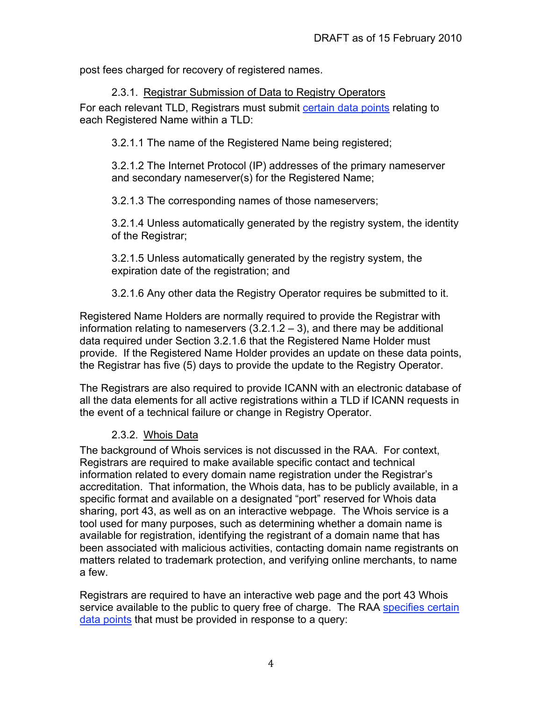post fees charged for recovery of registered names.

#### 2.3.1. Registrar Submission of Data to Registry Operators

For each relevant TLD, Registrars must submit certain data points relating to each Registered Name within a TLD:

3.2.1.1 The name of the Registered Name being registered;

3.2.1.2 The Internet Protocol (IP) addresses of the primary nameserver and secondary nameserver(s) for the Registered Name;

3.2.1.3 The corresponding names of those nameservers;

3.2.1.4 Unless automatically generated by the registry system, the identity of the Registrar;

3.2.1.5 Unless automatically generated by the registry system, the expiration date of the registration; and

3.2.1.6 Any other data the Registry Operator requires be submitted to it.

Registered Name Holders are normally required to provide the Registrar with information relating to nameservers (3.2.1.2 – 3), and there may be additional data required under Section 3.2.1.6 that the Registered Name Holder must provide. If the Registered Name Holder provides an update on these data points, the Registrar has five (5) days to provide the update to the Registry Operator.

The Registrars are also required to provide ICANN with an electronic database of all the data elements for all active registrations within a TLD if ICANN requests in the event of a technical failure or change in Registry Operator.

#### 2.3.2. Whois Data

The background of Whois services is not discussed in the RAA. For context, Registrars are required to make available specific contact and technical information related to every domain name registration under the Registrar's accreditation. That information, the Whois data, has to be publicly available, in a specific format and available on a designated "port" reserved for Whois data sharing, port 43, as well as on an interactive webpage. The Whois service is a tool used for many purposes, such as determining whether a domain name is available for registration, identifying the registrant of a domain name that has been associated with malicious activities, contacting domain name registrants on matters related to trademark protection, and verifying online merchants, to name a few.

Registrars are required to have an interactive web page and the port 43 Whois service available to the public to query free of charge. The RAA specifies certain data points that must be provided in response to a query: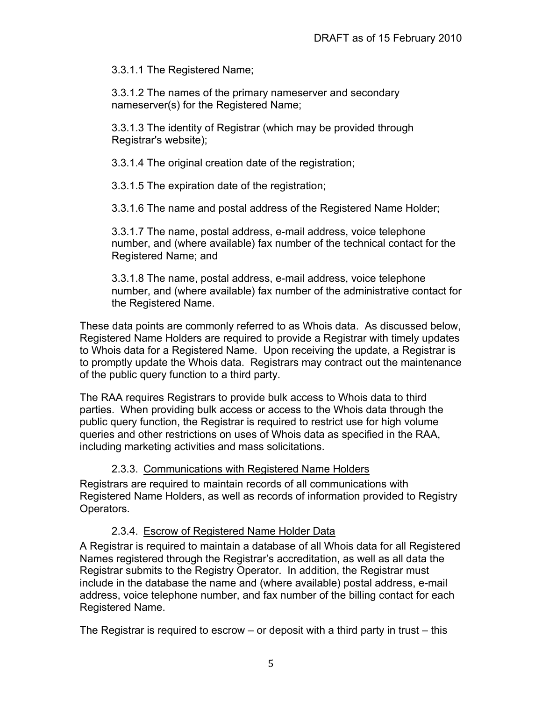3.3.1.1 The Registered Name;

3.3.1.2 The names of the primary nameserver and secondary nameserver(s) for the Registered Name;

3.3.1.3 The identity of Registrar (which may be provided through Registrar's website);

3.3.1.4 The original creation date of the registration;

3.3.1.5 The expiration date of the registration;

3.3.1.6 The name and postal address of the Registered Name Holder;

3.3.1.7 The name, postal address, e-mail address, voice telephone number, and (where available) fax number of the technical contact for the Registered Name; and

3.3.1.8 The name, postal address, e-mail address, voice telephone number, and (where available) fax number of the administrative contact for the Registered Name.

These data points are commonly referred to as Whois data. As discussed below, Registered Name Holders are required to provide a Registrar with timely updates to Whois data for a Registered Name. Upon receiving the update, a Registrar is to promptly update the Whois data. Registrars may contract out the maintenance of the public query function to a third party.

The RAA requires Registrars to provide bulk access to Whois data to third parties. When providing bulk access or access to the Whois data through the public query function, the Registrar is required to restrict use for high volume queries and other restrictions on uses of Whois data as specified in the RAA, including marketing activities and mass solicitations.

#### 2.3.3. Communications with Registered Name Holders

Registrars are required to maintain records of all communications with Registered Name Holders, as well as records of information provided to Registry Operators.

#### 2.3.4. Escrow of Registered Name Holder Data

A Registrar is required to maintain a database of all Whois data for all Registered Names registered through the Registrar's accreditation, as well as all data the Registrar submits to the Registry Operator. In addition, the Registrar must include in the database the name and (where available) postal address, e-mail address, voice telephone number, and fax number of the billing contact for each Registered Name.

The Registrar is required to escrow – or deposit with a third party in trust – this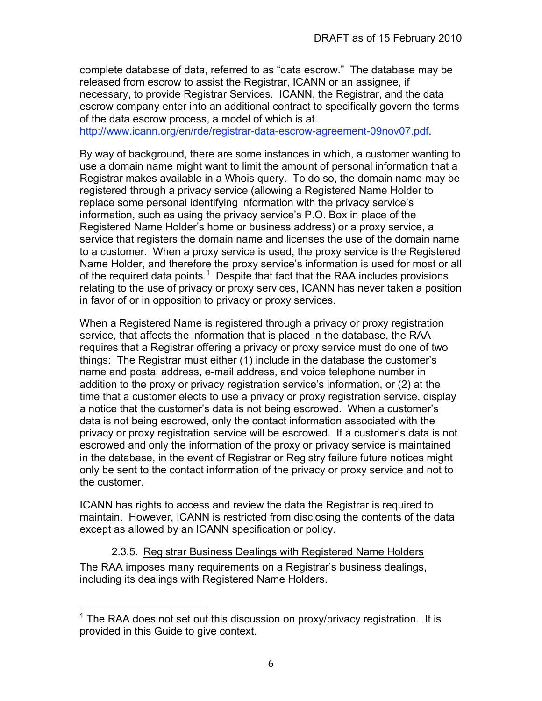complete database of data, referred to as "data escrow." The database may be released from escrow to assist the Registrar, ICANN or an assignee, if necessary, to provide Registrar Services. ICANN, the Registrar, and the data escrow company enter into an additional contract to specifically govern the terms of the data escrow process, a model of which is at

http://www.icann.org/en/rde/registrar-data-escrow-agreement-09nov07.pdf.

By way of background, there are some instances in which, a customer wanting to use a domain name might want to limit the amount of personal information that a Registrar makes available in a Whois query. To do so, the domain name may be registered through a privacy service (allowing a Registered Name Holder to replace some personal identifying information with the privacy service's information, such as using the privacy service's P.O. Box in place of the Registered Name Holder's home or business address) or a proxy service, a service that registers the domain name and licenses the use of the domain name to a customer. When a proxy service is used, the proxy service is the Registered Name Holder, and therefore the proxy service's information is used for most or all of the required data points.<sup>1</sup> Despite that fact that the RAA includes provisions relating to the use of privacy or proxy services, ICANN has never taken a position in favor of or in opposition to privacy or proxy services.

When a Registered Name is registered through a privacy or proxy registration service, that affects the information that is placed in the database, the RAA requires that a Registrar offering a privacy or proxy service must do one of two things: The Registrar must either (1) include in the database the customer's name and postal address, e-mail address, and voice telephone number in addition to the proxy or privacy registration service's information, or (2) at the time that a customer elects to use a privacy or proxy registration service, display a notice that the customer's data is not being escrowed. When a customer's data is not being escrowed, only the contact information associated with the privacy or proxy registration service will be escrowed. If a customer's data is not escrowed and only the information of the proxy or privacy service is maintained in the database, in the event of Registrar or Registry failure future notices might only be sent to the contact information of the privacy or proxy service and not to the customer.

ICANN has rights to access and review the data the Registrar is required to maintain. However, ICANN is restricted from disclosing the contents of the data except as allowed by an ICANN specification or policy.

2.3.5. Registrar Business Dealings with Registered Name Holders The RAA imposes many requirements on a Registrar's business dealings, including its dealings with Registered Name Holders.

THE RAA does not set out this discussion on proxy/privacy registration. It is provided in this Guide to give context.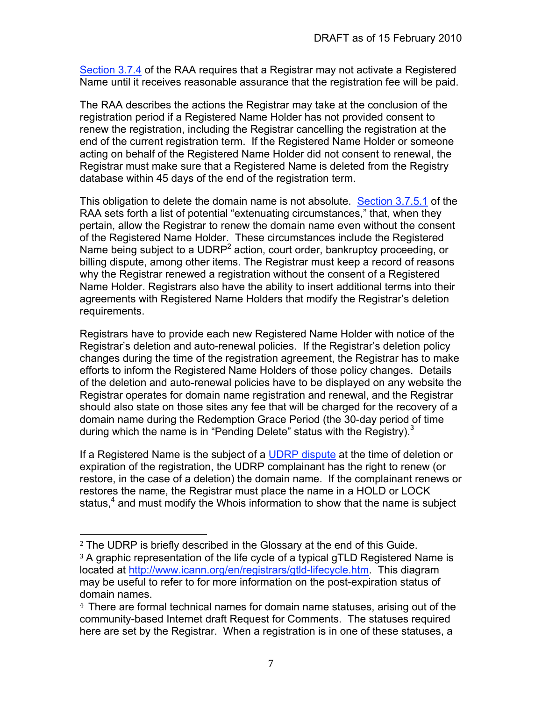Section 3.7.4 of the RAA requires that a Registrar may not activate a Registered Name until it receives reasonable assurance that the registration fee will be paid.

The RAA describes the actions the Registrar may take at the conclusion of the registration period if a Registered Name Holder has not provided consent to renew the registration, including the Registrar cancelling the registration at the end of the current registration term. If the Registered Name Holder or someone acting on behalf of the Registered Name Holder did not consent to renewal, the Registrar must make sure that a Registered Name is deleted from the Registry database within 45 days of the end of the registration term.

This obligation to delete the domain name is not absolute. Section 3.7.5.1 of the RAA sets forth a list of potential "extenuating circumstances," that, when they pertain, allow the Registrar to renew the domain name even without the consent of the Registered Name Holder. These circumstances include the Registered Name being subject to a UDRP<sup>2</sup> action, court order, bankruptcy proceeding, or billing dispute, among other items. The Registrar must keep a record of reasons why the Registrar renewed a registration without the consent of a Registered Name Holder. Registrars also have the ability to insert additional terms into their agreements with Registered Name Holders that modify the Registrar's deletion requirements.

Registrars have to provide each new Registered Name Holder with notice of the Registrar's deletion and auto-renewal policies. If the Registrar's deletion policy changes during the time of the registration agreement, the Registrar has to make efforts to inform the Registered Name Holders of those policy changes. Details of the deletion and auto-renewal policies have to be displayed on any website the Registrar operates for domain name registration and renewal, and the Registrar should also state on those sites any fee that will be charged for the recovery of a domain name during the Redemption Grace Period (the 30-day period of time during which the name is in "Pending Delete" status with the Registry). $3$ 

If a Registered Name is the subject of a UDRP dispute at the time of deletion or expiration of the registration, the UDRP complainant has the right to renew (or restore, in the case of a deletion) the domain name. If the complainant renews or restores the name, the Registrar must place the name in a HOLD or LOCK status,<sup>4</sup> and must modify the Whois information to show that the name is subject

<sup>2</sup> The UDRP is briefly described in the Glossary at the end of this Guide. <sup>3</sup> A graphic representation of the life cycle of a typical gTLD Registered Name is located at http://www.icann.org/en/registrars/gtld-lifecycle.htm. This diagram may be useful to refer to for more information on the post-expiration status of domain names.

<sup>4</sup> There are formal technical names for domain name statuses, arising out of the community-based Internet draft Request for Comments. The statuses required here are set by the Registrar. When a registration is in one of these statuses, a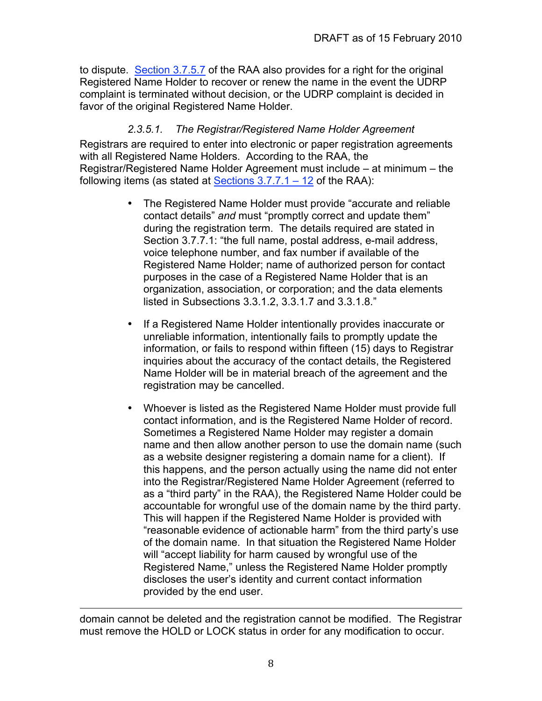to dispute. Section 3.7.5.7 of the RAA also provides for a right for the original Registered Name Holder to recover or renew the name in the event the UDRP complaint is terminated without decision, or the UDRP complaint is decided in favor of the original Registered Name Holder.

### *2.3.5.1. The Registrar/Registered Name Holder Agreement*

Registrars are required to enter into electronic or paper registration agreements with all Registered Name Holders. According to the RAA, the Registrar/Registered Name Holder Agreement must include – at minimum – the following items (as stated at Sections  $3.7.7.1 - 12$  of the RAA):

- The Registered Name Holder must provide "accurate and reliable contact details" *and* must "promptly correct and update them" during the registration term. The details required are stated in Section 3.7.7.1: "the full name, postal address, e-mail address, voice telephone number, and fax number if available of the Registered Name Holder; name of authorized person for contact purposes in the case of a Registered Name Holder that is an organization, association, or corporation; and the data elements listed in Subsections 3.3.1.2, 3.3.1.7 and 3.3.1.8."
- If a Registered Name Holder intentionally provides inaccurate or unreliable information, intentionally fails to promptly update the information, or fails to respond within fifteen (15) days to Registrar inquiries about the accuracy of the contact details, the Registered Name Holder will be in material breach of the agreement and the registration may be cancelled.
- Whoever is listed as the Registered Name Holder must provide full contact information, and is the Registered Name Holder of record. Sometimes a Registered Name Holder may register a domain name and then allow another person to use the domain name (such as a website designer registering a domain name for a client). If this happens, and the person actually using the name did not enter into the Registrar/Registered Name Holder Agreement (referred to as a "third party" in the RAA), the Registered Name Holder could be accountable for wrongful use of the domain name by the third party. This will happen if the Registered Name Holder is provided with "reasonable evidence of actionable harm" from the third party's use of the domain name. In that situation the Registered Name Holder will "accept liability for harm caused by wrongful use of the Registered Name," unless the Registered Name Holder promptly discloses the user's identity and current contact information provided by the end user.

<u> 1989 - Andrea San Andrea San Andrea San Andrea San Andrea San Andrea San Andrea San Andrea San Andrea San An</u> domain cannot be deleted and the registration cannot be modified. The Registrar must remove the HOLD or LOCK status in order for any modification to occur.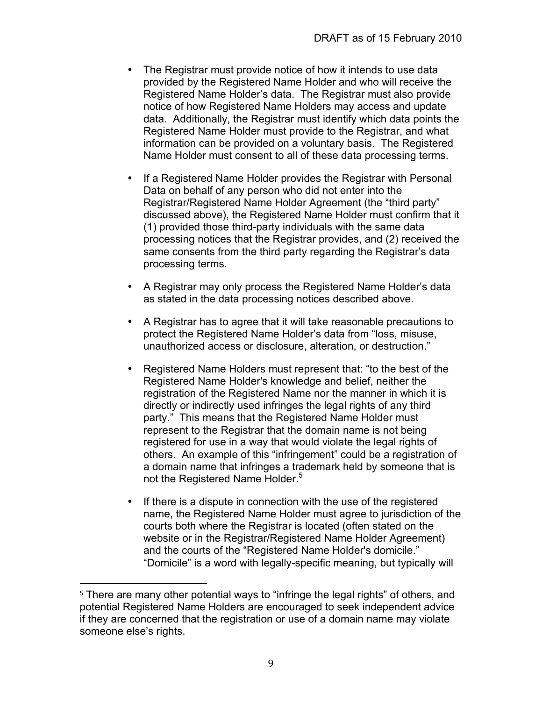- The Registrar must provide notice of how it intends to use data provided by the Registered Name Holder and who will receive the Registered Name Holder's data. The Registrar must also provide notice of how Registered Name Holders may access and update data. Additionally, the Registrar must identify which data points the Registered Name Holder must provide to the Registrar, and what information can be provided on a voluntary basis. The Registered Name Holder must consent to all of these data processing terms.
- If a Registered Name Holder provides the Registrar with Personal Data on behalf of any person who did not enter into the Registrar/Registered Name Holder Agreement (the "third party" discussed above), the Registered Name Holder must confirm that it (1) provided those third-party individuals with the same data processing notices that the Registrar provides, and (2) received the same consents from the third party regarding the Registrar's data processing terms.
- A Registrar may only process the Registered Name Holder's data as stated in the data processing notices described above.
- A Registrar has to agree that it will take reasonable precautions to protect the Registered Name Holder's data from "loss, misuse, unauthorized access or disclosure, alteration, or destruction."
- Registered Name Holders must represent that: "to the best of the Registered Name Holder's knowledge and belief, neither the registration of the Registered Name nor the manner in which it is directly or indirectly used infringes the legal rights of any third party." This means that the Registered Name Holder must represent to the Registrar that the domain name is not being registered for use in a way that would violate the legal rights of others. An example of this "infringement" could be a registration of a domain name that infringes a trademark held by someone that is not the Registered Name Holder.<sup>5</sup>
- If there is a dispute in connection with the use of the registered name, the Registered Name Holder must agree to jurisdiction of the courts both where the Registrar is located (often stated on the website or in the Registrar/Registered Name Holder Agreement) and the courts of the "Registered Name Holder's domicile." "Domicile" is a word with legally-specific meaning, but typically will

<sup>&</sup>lt;sup>5</sup> There are many other potential ways to "infringe the legal rights" of others, and potential Registered Name Holders are encouraged to seek independent advice if they are concerned that the registration or use of a domain name may violate someone else's rights.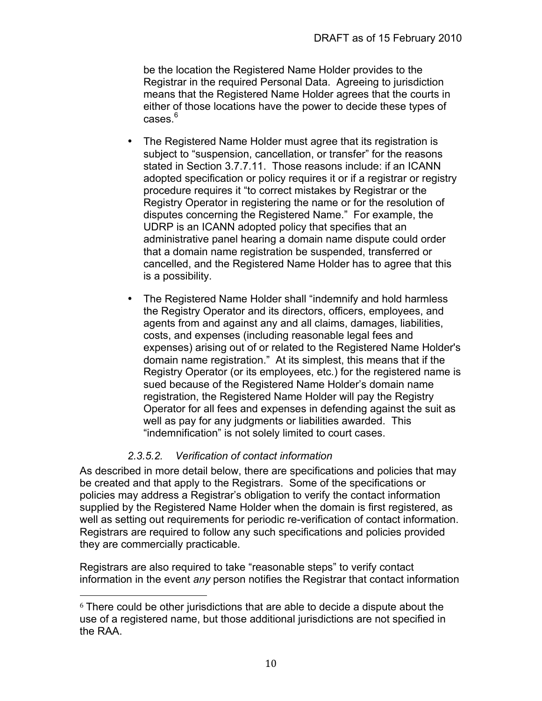be the location the Registered Name Holder provides to the Registrar in the required Personal Data. Agreeing to jurisdiction means that the Registered Name Holder agrees that the courts in either of those locations have the power to decide these types of cases. $^6\,$ 

- The Registered Name Holder must agree that its registration is subject to "suspension, cancellation, or transfer" for the reasons stated in Section 3.7.7.11. Those reasons include: if an ICANN adopted specification or policy requires it or if a registrar or registry procedure requires it "to correct mistakes by Registrar or the Registry Operator in registering the name or for the resolution of disputes concerning the Registered Name." For example, the UDRP is an ICANN adopted policy that specifies that an administrative panel hearing a domain name dispute could order that a domain name registration be suspended, transferred or cancelled, and the Registered Name Holder has to agree that this is a possibility.
- The Registered Name Holder shall "indemnify and hold harmless the Registry Operator and its directors, officers, employees, and agents from and against any and all claims, damages, liabilities, costs, and expenses (including reasonable legal fees and expenses) arising out of or related to the Registered Name Holder's domain name registration." At its simplest, this means that if the Registry Operator (or its employees, etc.) for the registered name is sued because of the Registered Name Holder's domain name registration, the Registered Name Holder will pay the Registry Operator for all fees and expenses in defending against the suit as well as pay for any judgments or liabilities awarded. This "indemnification" is not solely limited to court cases.

## *2.3.5.2. Verification of contact information*

As described in more detail below, there are specifications and policies that may be created and that apply to the Registrars. Some of the specifications or policies may address a Registrar's obligation to verify the contact information supplied by the Registered Name Holder when the domain is first registered, as well as setting out requirements for periodic re-verification of contact information. Registrars are required to follow any such specifications and policies provided they are commercially practicable.

Registrars are also required to take "reasonable steps" to verify contact information in the event *any* person notifies the Registrar that contact information

<sup>6</sup> There could be other jurisdictions that are able to decide a dispute about the use of a registered name, but those additional jurisdictions are not specified in the RAA.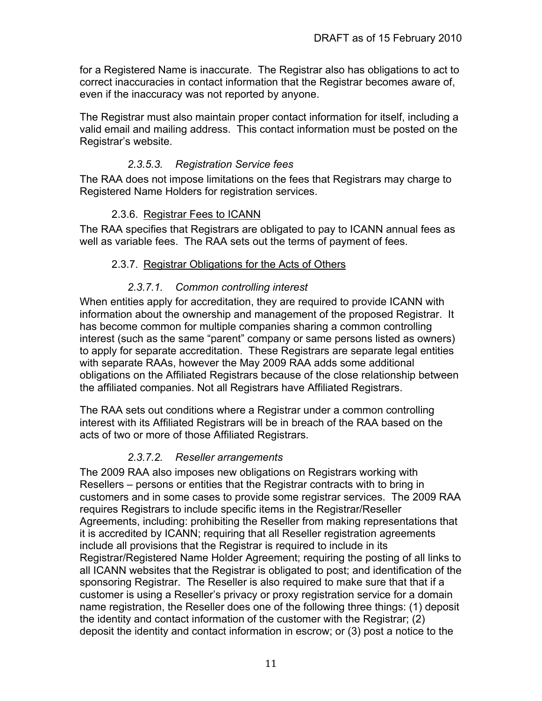for a Registered Name is inaccurate. The Registrar also has obligations to act to correct inaccuracies in contact information that the Registrar becomes aware of, even if the inaccuracy was not reported by anyone.

The Registrar must also maintain proper contact information for itself, including a valid email and mailing address. This contact information must be posted on the Registrar's website.

## *2.3.5.3. Registration Service fees*

The RAA does not impose limitations on the fees that Registrars may charge to Registered Name Holders for registration services.

### 2.3.6. Registrar Fees to ICANN

The RAA specifies that Registrars are obligated to pay to ICANN annual fees as well as variable fees. The RAA sets out the terms of payment of fees.

#### 2.3.7. Registrar Obligations for the Acts of Others

### *2.3.7.1. Common controlling interest*

When entities apply for accreditation, they are required to provide ICANN with information about the ownership and management of the proposed Registrar. It has become common for multiple companies sharing a common controlling interest (such as the same "parent" company or same persons listed as owners) to apply for separate accreditation. These Registrars are separate legal entities with separate RAAs, however the May 2009 RAA adds some additional obligations on the Affiliated Registrars because of the close relationship between the affiliated companies. Not all Registrars have Affiliated Registrars.

The RAA sets out conditions where a Registrar under a common controlling interest with its Affiliated Registrars will be in breach of the RAA based on the acts of two or more of those Affiliated Registrars.

#### *2.3.7.2. Reseller arrangements*

The 2009 RAA also imposes new obligations on Registrars working with Resellers – persons or entities that the Registrar contracts with to bring in customers and in some cases to provide some registrar services. The 2009 RAA requires Registrars to include specific items in the Registrar/Reseller Agreements, including: prohibiting the Reseller from making representations that it is accredited by ICANN; requiring that all Reseller registration agreements include all provisions that the Registrar is required to include in its Registrar/Registered Name Holder Agreement; requiring the posting of all links to all ICANN websites that the Registrar is obligated to post; and identification of the sponsoring Registrar. The Reseller is also required to make sure that that if a customer is using a Reseller's privacy or proxy registration service for a domain name registration, the Reseller does one of the following three things: (1) deposit the identity and contact information of the customer with the Registrar; (2) deposit the identity and contact information in escrow; or (3) post a notice to the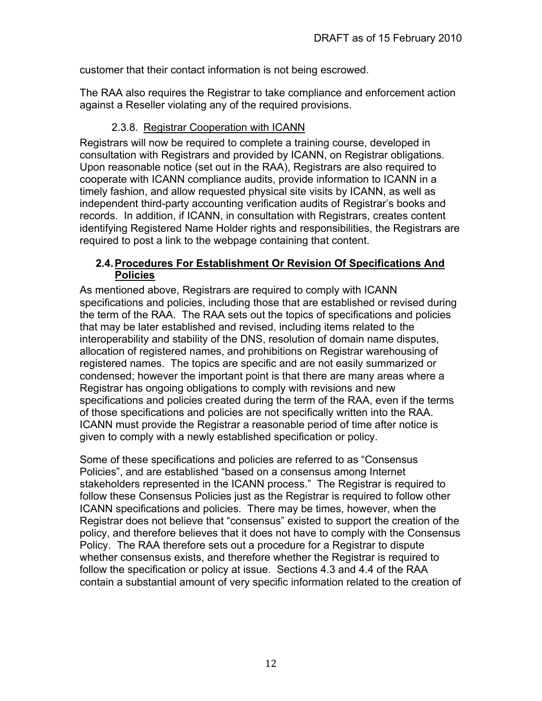customer that their contact information is not being escrowed.

The RAA also requires the Registrar to take compliance and enforcement action against a Reseller violating any of the required provisions.

## 2.3.8. Registrar Cooperation with ICANN

Registrars will now be required to complete a training course, developed in consultation with Registrars and provided by ICANN, on Registrar obligations. Upon reasonable notice (set out in the RAA), Registrars are also required to cooperate with ICANN compliance audits, provide information to ICANN in a timely fashion, and allow requested physical site visits by ICANN, as well as independent third-party accounting verification audits of Registrar's books and records. In addition, if ICANN, in consultation with Registrars, creates content identifying Registered Name Holder rights and responsibilities, the Registrars are required to post a link to the webpage containing that content.

#### **2.4.Procedures For Establishment Or Revision Of Specifications And Policies**

As mentioned above, Registrars are required to comply with ICANN specifications and policies, including those that are established or revised during the term of the RAA. The RAA sets out the topics of specifications and policies that may be later established and revised, including items related to the interoperability and stability of the DNS, resolution of domain name disputes, allocation of registered names, and prohibitions on Registrar warehousing of registered names. The topics are specific and are not easily summarized or condensed; however the important point is that there are many areas where a Registrar has ongoing obligations to comply with revisions and new specifications and policies created during the term of the RAA, even if the terms of those specifications and policies are not specifically written into the RAA. ICANN must provide the Registrar a reasonable period of time after notice is given to comply with a newly established specification or policy.

Some of these specifications and policies are referred to as "Consensus Policies", and are established "based on a consensus among Internet stakeholders represented in the ICANN process." The Registrar is required to follow these Consensus Policies just as the Registrar is required to follow other ICANN specifications and policies. There may be times, however, when the Registrar does not believe that "consensus" existed to support the creation of the policy, and therefore believes that it does not have to comply with the Consensus Policy. The RAA therefore sets out a procedure for a Registrar to dispute whether consensus exists, and therefore whether the Registrar is required to follow the specification or policy at issue. Sections 4.3 and 4.4 of the RAA contain a substantial amount of very specific information related to the creation of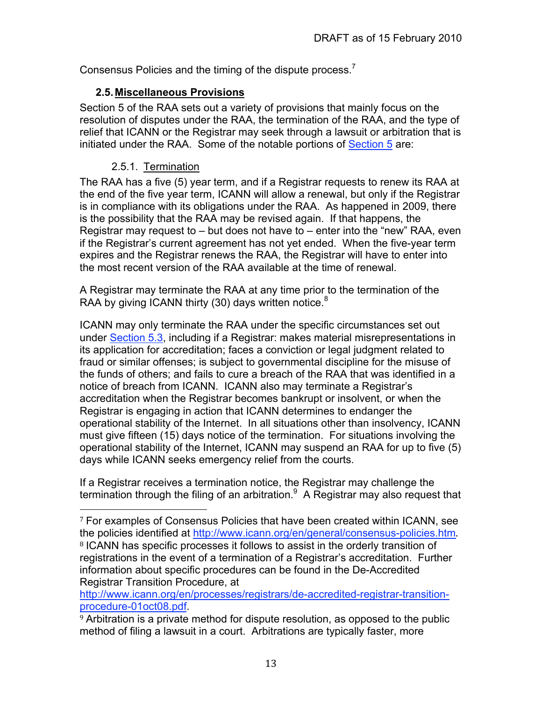Consensus Policies and the timing of the dispute process.<sup>7</sup>

## **2.5.Miscellaneous Provisions**

Section 5 of the RAA sets out a variety of provisions that mainly focus on the resolution of disputes under the RAA, the termination of the RAA, and the type of relief that ICANN or the Registrar may seek through a lawsuit or arbitration that is initiated under the RAA. Some of the notable portions of Section 5 are:

## 2.5.1. Termination

The RAA has a five (5) year term, and if a Registrar requests to renew its RAA at the end of the five year term, ICANN will allow a renewal, but only if the Registrar is in compliance with its obligations under the RAA. As happened in 2009, there is the possibility that the RAA may be revised again. If that happens, the Registrar may request to – but does not have to – enter into the "new" RAA, even if the Registrar's current agreement has not yet ended. When the five-year term expires and the Registrar renews the RAA, the Registrar will have to enter into the most recent version of the RAA available at the time of renewal.

A Registrar may terminate the RAA at any time prior to the termination of the RAA by giving ICANN thirty (30) days written notice.<sup>8</sup>

ICANN may only terminate the RAA under the specific circumstances set out under Section 5.3, including if a Registrar: makes material misrepresentations in its application for accreditation; faces a conviction or legal judgment related to fraud or similar offenses; is subject to governmental discipline for the misuse of the funds of others; and fails to cure a breach of the RAA that was identified in a notice of breach from ICANN. ICANN also may terminate a Registrar's accreditation when the Registrar becomes bankrupt or insolvent, or when the Registrar is engaging in action that ICANN determines to endanger the operational stability of the Internet. In all situations other than insolvency, ICANN must give fifteen (15) days notice of the termination. For situations involving the operational stability of the Internet, ICANN may suspend an RAA for up to five (5) days while ICANN seeks emergency relief from the courts.

If a Registrar receives a termination notice, the Registrar may challenge the termination through the filing of an arbitration. $9$  A Registrar may also request that

information about specific procedures can be found in the De-Accredited Registrar Transition Procedure, at

http://www.icann.org/en/processes/registrars/de-accredited-registrar-transitionprocedure-01oct08.pdf.

<sup>9</sup> Arbitration is a private method for dispute resolution, as opposed to the public method of filing a lawsuit in a court. Arbitrations are typically faster, more

<sup>7</sup> For examples of Consensus Policies that have been created within ICANN, see the policies identified at http://www.icann.org/en/general/consensus-policies.htm. <sup>8</sup> ICANN has specific processes it follows to assist in the orderly transition of registrations in the event of a termination of a Registrar's accreditation. Further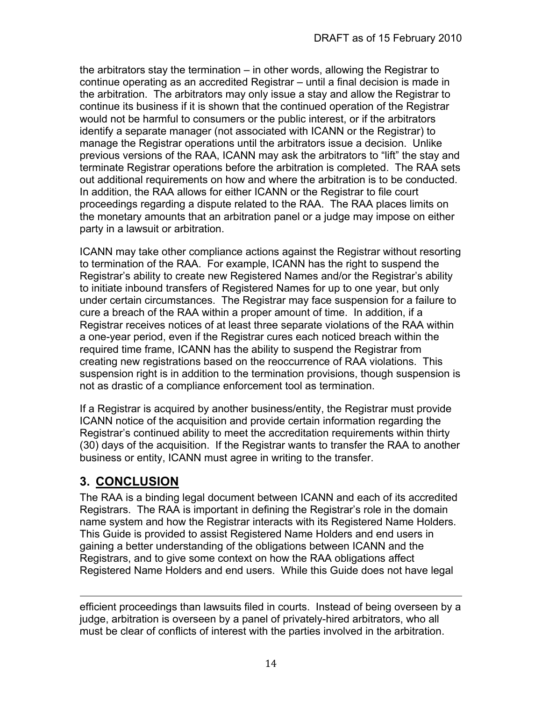the arbitrators stay the termination – in other words, allowing the Registrar to continue operating as an accredited Registrar – until a final decision is made in the arbitration. The arbitrators may only issue a stay and allow the Registrar to continue its business if it is shown that the continued operation of the Registrar would not be harmful to consumers or the public interest, or if the arbitrators identify a separate manager (not associated with ICANN or the Registrar) to manage the Registrar operations until the arbitrators issue a decision. Unlike previous versions of the RAA, ICANN may ask the arbitrators to "lift" the stay and terminate Registrar operations before the arbitration is completed. The RAA sets out additional requirements on how and where the arbitration is to be conducted. In addition, the RAA allows for either ICANN or the Registrar to file court proceedings regarding a dispute related to the RAA. The RAA places limits on the monetary amounts that an arbitration panel or a judge may impose on either party in a lawsuit or arbitration.

ICANN may take other compliance actions against the Registrar without resorting to termination of the RAA. For example, ICANN has the right to suspend the Registrar's ability to create new Registered Names and/or the Registrar's ability to initiate inbound transfers of Registered Names for up to one year, but only under certain circumstances. The Registrar may face suspension for a failure to cure a breach of the RAA within a proper amount of time. In addition, if a Registrar receives notices of at least three separate violations of the RAA within a one-year period, even if the Registrar cures each noticed breach within the required time frame, ICANN has the ability to suspend the Registrar from creating new registrations based on the reoccurrence of RAA violations. This suspension right is in addition to the termination provisions, though suspension is not as drastic of a compliance enforcement tool as termination.

If a Registrar is acquired by another business/entity, the Registrar must provide ICANN notice of the acquisition and provide certain information regarding the Registrar's continued ability to meet the accreditation requirements within thirty (30) days of the acquisition. If the Registrar wants to transfer the RAA to another business or entity, ICANN must agree in writing to the transfer.

## **3. CONCLUSION**

The RAA is a binding legal document between ICANN and each of its accredited Registrars. The RAA is important in defining the Registrar's role in the domain name system and how the Registrar interacts with its Registered Name Holders. This Guide is provided to assist Registered Name Holders and end users in gaining a better understanding of the obligations between ICANN and the Registrars, and to give some context on how the RAA obligations affect Registered Name Holders and end users. While this Guide does not have legal

efficient proceedings than lawsuits filed in courts. Instead of being overseen by a judge, arbitration is overseen by a panel of privately-hired arbitrators, who all must be clear of conflicts of interest with the parties involved in the arbitration.

<u> 1989 - Andrea Santa Andrea Andrea Andrea Andrea Andrea Andrea Andrea Andrea Andrea Andrea Andrea Andrea Andr</u>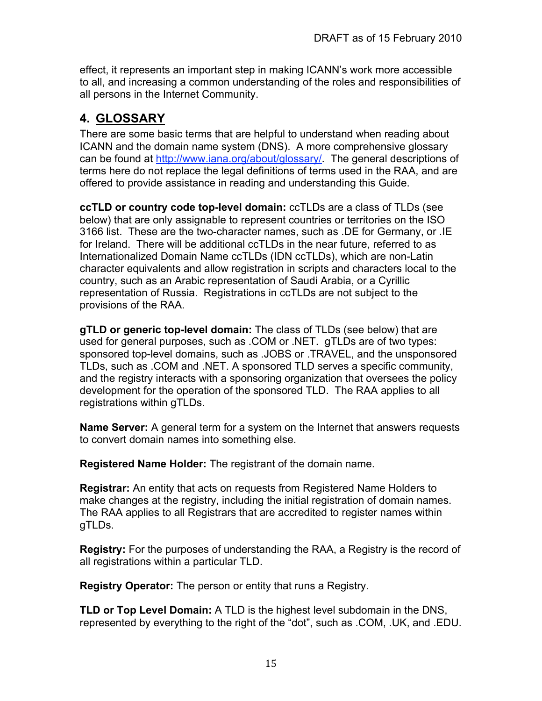effect, it represents an important step in making ICANN's work more accessible to all, and increasing a common understanding of the roles and responsibilities of all persons in the Internet Community.

## **4. GLOSSARY**

There are some basic terms that are helpful to understand when reading about ICANN and the domain name system (DNS). A more comprehensive glossary can be found at http://www.iana.org/about/glossary/. The general descriptions of terms here do not replace the legal definitions of terms used in the RAA, and are offered to provide assistance in reading and understanding this Guide.

**ccTLD or country code top-level domain:** ccTLDs are a class of TLDs (see below) that are only assignable to represent countries or territories on the ISO 3166 list. These are the two-character names, such as .DE for Germany, or .IE for Ireland. There will be additional ccTLDs in the near future, referred to as Internationalized Domain Name ccTLDs (IDN ccTLDs), which are non-Latin character equivalents and allow registration in scripts and characters local to the country, such as an Arabic representation of Saudi Arabia, or a Cyrillic representation of Russia. Registrations in ccTLDs are not subject to the provisions of the RAA.

**gTLD or generic top-level domain:** The class of TLDs (see below) that are used for general purposes, such as .COM or .NET. gTLDs are of two types: sponsored top-level domains, such as .JOBS or .TRAVEL, and the unsponsored TLDs, such as .COM and .NET. A sponsored TLD serves a specific community, and the registry interacts with a sponsoring organization that oversees the policy development for the operation of the sponsored TLD. The RAA applies to all registrations within gTLDs.

**Name Server:** A general term for a system on the Internet that answers requests to convert domain names into something else.

**Registered Name Holder:** The registrant of the domain name.

**Registrar:** An entity that acts on requests from Registered Name Holders to make changes at the registry, including the initial registration of domain names. The RAA applies to all Registrars that are accredited to register names within gTLDs.

**Registry:** For the purposes of understanding the RAA, a Registry is the record of all registrations within a particular TLD.

**Registry Operator:** The person or entity that runs a Registry.

**TLD or Top Level Domain:** A TLD is the highest level subdomain in the DNS, represented by everything to the right of the "dot", such as .COM, .UK, and .EDU.